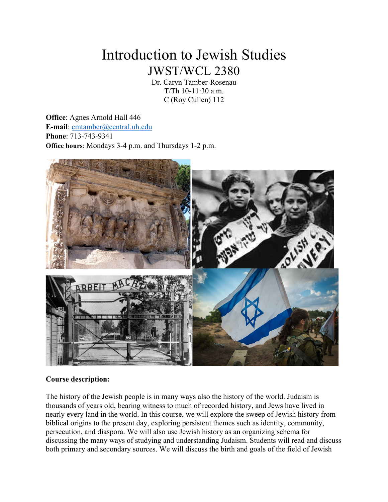# Introduction to Jewish Studies JWST/WCL 2380

Dr. Caryn Tamber-Rosenau T/Th 10-11:30 a.m. C (Roy Cullen) 112

**Office**: Agnes Arnold Hall 446 **E-mail**: cmtamber@central.uh.edu **Phone**: 713-743-9341 **Office hours**: Mondays 3-4 p.m. and Thursdays 1-2 p.m.



#### **Course description:**

The history of the Jewish people is in many ways also the history of the world. Judaism is thousands of years old, bearing witness to much of recorded history, and Jews have lived in nearly every land in the world. In this course, we will explore the sweep of Jewish history from biblical origins to the present day, exploring persistent themes such as identity, community, persecution, and diaspora. We will also use Jewish history as an organizing schema for discussing the many ways of studying and understanding Judaism. Students will read and discuss both primary and secondary sources. We will discuss the birth and goals of the field of Jewish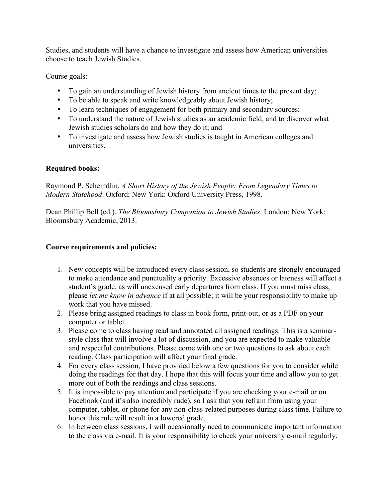Studies, and students will have a chance to investigate and assess how American universities choose to teach Jewish Studies.

Course goals:

- To gain an understanding of Jewish history from ancient times to the present day;
- To be able to speak and write knowledgeably about Jewish history;
- To learn techniques of engagement for both primary and secondary sources;
- To understand the nature of Jewish studies as an academic field, and to discover what Jewish studies scholars do and how they do it; and
- To investigate and assess how Jewish studies is taught in American colleges and universities.

# **Required books:**

Raymond P. Scheindlin, *A Short History of the Jewish People: From Legendary Times to Modern Statehood*. Oxford; New York: Oxford University Press, 1998.

Dean Phillip Bell (ed.), *The Bloomsbury Companion to Jewish Studies*. London; New York: Bloomsbury Academic, 2013.

# **Course requirements and policies:**

- 1. New concepts will be introduced every class session, so students are strongly encouraged to make attendance and punctuality a priority. Excessive absences or lateness will affect a student's grade, as will unexcused early departures from class. If you must miss class, please *let me know in advance* if at all possible; it will be your responsibility to make up work that you have missed.
- 2. Please bring assigned readings to class in book form, print-out, or as a PDF on your computer or tablet.
- 3. Please come to class having read and annotated all assigned readings. This is a seminarstyle class that will involve a lot of discussion, and you are expected to make valuable and respectful contributions. Please come with one or two questions to ask about each reading. Class participation will affect your final grade.
- 4. For every class session, I have provided below a few questions for you to consider while doing the readings for that day. I hope that this will focus your time and allow you to get more out of both the readings and class sessions.
- 5. It is impossible to pay attention and participate if you are checking your e-mail or on Facebook (and it's also incredibly rude), so I ask that you refrain from using your computer, tablet, or phone for any non-class-related purposes during class time. Failure to honor this rule will result in a lowered grade.
- 6. In between class sessions, I will occasionally need to communicate important information to the class via e-mail. It is your responsibility to check your university e-mail regularly.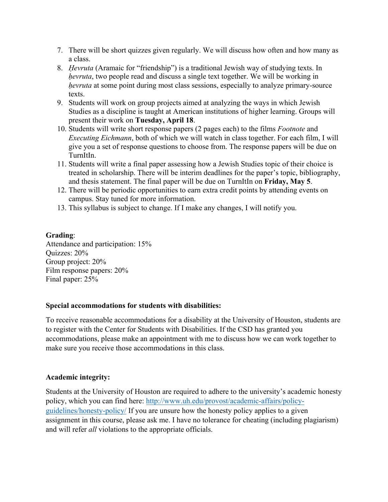- 7. There will be short quizzes given regularly. We will discuss how often and how many as a class.
- 8. *Ḥevruta* (Aramaic for "friendship") is a traditional Jewish way of studying texts. In *hevruta*, two people read and discuss a single text together. We will be working in *hevruta* at some point during most class sessions, especially to analyze primary-source texts.
- 9. Students will work on group projects aimed at analyzing the ways in which Jewish Studies as a discipline is taught at American institutions of higher learning. Groups will present their work on **Tuesday, April 18**.
- 10. Students will write short response papers (2 pages each) to the films *Footnote* and *Executing Eichmann*, both of which we will watch in class together. For each film, I will give you a set of response questions to choose from. The response papers will be due on **TurnItIn**
- 11. Students will write a final paper assessing how a Jewish Studies topic of their choice is treated in scholarship. There will be interim deadlines for the paper's topic, bibliography, and thesis statement. The final paper will be due on TurnItIn on **Friday, May 5**.
- 12. There will be periodic opportunities to earn extra credit points by attending events on campus. Stay tuned for more information.
- 13. This syllabus is subject to change. If I make any changes, I will notify you.

#### **Grading**:

Attendance and participation: 15% Quizzes: 20% Group project: 20% Film response papers: 20% Final paper: 25%

#### **Special accommodations for students with disabilities:**

To receive reasonable accommodations for a disability at the University of Houston, students are to register with the Center for Students with Disabilities. If the CSD has granted you accommodations, please make an appointment with me to discuss how we can work together to make sure you receive those accommodations in this class.

#### **Academic integrity:**

Students at the University of Houston are required to adhere to the university's academic honesty policy, which you can find here: http://www.uh.edu/provost/academic-affairs/policyguidelines/honesty-policy/ If you are unsure how the honesty policy applies to a given assignment in this course, please ask me. I have no tolerance for cheating (including plagiarism) and will refer *all* violations to the appropriate officials.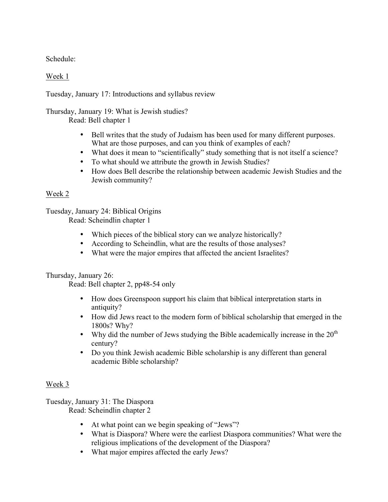Schedule:

Week 1

Tuesday, January 17: Introductions and syllabus review

Thursday, January 19: What is Jewish studies? Read: Bell chapter 1

- Bell writes that the study of Judaism has been used for many different purposes. What are those purposes, and can you think of examples of each?
- What does it mean to "scientifically" study something that is not itself a science?
- To what should we attribute the growth in Jewish Studies?
- How does Bell describe the relationship between academic Jewish Studies and the Jewish community?

## Week 2

Tuesday, January 24: Biblical Origins

Read: Scheindlin chapter 1

- Which pieces of the biblical story can we analyze historically?
- According to Scheindlin, what are the results of those analyses?
- What were the major empires that affected the ancient Israelites?

Thursday, January 26:

Read: Bell chapter 2, pp48-54 only

- How does Greenspoon support his claim that biblical interpretation starts in antiquity?
- How did Jews react to the modern form of biblical scholarship that emerged in the 1800s? Why?
- Why did the number of Jews studying the Bible academically increase in the  $20<sup>th</sup>$ century?
- Do you think Jewish academic Bible scholarship is any different than general academic Bible scholarship?

#### Week 3

Tuesday, January 31: The Diaspora

Read: Scheindlin chapter 2

- At what point can we begin speaking of "Jews"?
- What is Diaspora? Where were the earliest Diaspora communities? What were the religious implications of the development of the Diaspora?
- What major empires affected the early Jews?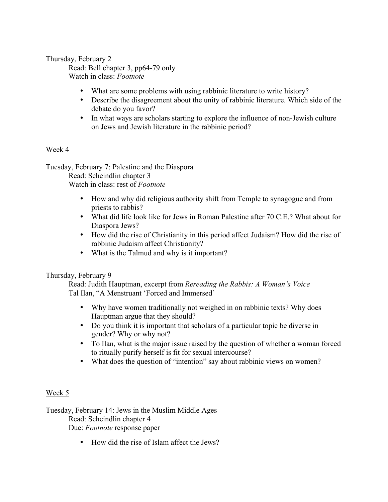#### Thursday, February 2

Read: Bell chapter 3, pp64-79 only Watch in class: *Footnote*

- What are some problems with using rabbinic literature to write history?
- Describe the disagreement about the unity of rabbinic literature. Which side of the debate do you favor?
- In what ways are scholars starting to explore the influence of non-Jewish culture on Jews and Jewish literature in the rabbinic period?

## Week 4

Tuesday, February 7: Palestine and the Diaspora Read: Scheindlin chapter 3 Watch in class: rest of *Footnote*

- How and why did religious authority shift from Temple to synagogue and from priests to rabbis?
- What did life look like for Jews in Roman Palestine after 70 C.E.? What about for Diaspora Jews?
- How did the rise of Christianity in this period affect Judaism? How did the rise of rabbinic Judaism affect Christianity?
- What is the Talmud and why is it important?

#### Thursday, February 9

Read: Judith Hauptman, excerpt from *Rereading the Rabbis: A Woman's Voice* Tal Ilan, "A Menstruant 'Forced and Immersed'

- Why have women traditionally not weighed in on rabbinic texts? Why does Hauptman argue that they should?
- Do you think it is important that scholars of a particular topic be diverse in gender? Why or why not?
- To Ilan, what is the major issue raised by the question of whether a woman forced to ritually purify herself is fit for sexual intercourse?
- What does the question of "intention" say about rabbinic views on women?

#### Week 5

Tuesday, February 14: Jews in the Muslim Middle Ages Read: Scheindlin chapter 4 Due: *Footnote* response paper

• How did the rise of Islam affect the Jews?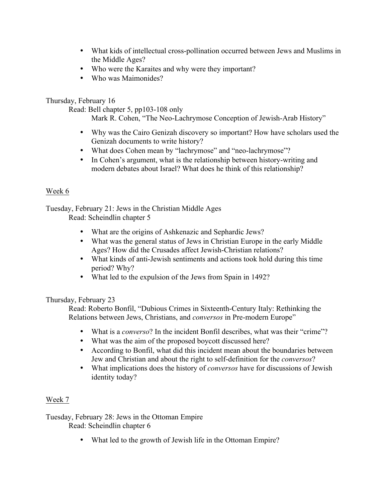- What kids of intellectual cross-pollination occurred between Jews and Muslims in the Middle Ages?
- Who were the Karaites and why were they important?
- Who was Maimonides?

Thursday, February 16

Read: Bell chapter 5, pp103-108 only

Mark R. Cohen, "The Neo-Lachrymose Conception of Jewish-Arab History"

- Why was the Cairo Genizah discovery so important? How have scholars used the Genizah documents to write history?
- What does Cohen mean by "lachrymose" and "neo-lachrymose"?
- In Cohen's argument, what is the relationship between history-writing and modern debates about Israel? What does he think of this relationship?

## Week 6

Tuesday, February 21: Jews in the Christian Middle Ages

Read: Scheindlin chapter 5

- What are the origins of Ashkenazic and Sephardic Jews?
- What was the general status of Jews in Christian Europe in the early Middle Ages? How did the Crusades affect Jewish-Christian relations?
- What kinds of anti-Jewish sentiments and actions took hold during this time period? Why?
- What led to the expulsion of the Jews from Spain in 1492?

#### Thursday, February 23

Read: Roberto Bonfil, "Dubious Crimes in Sixteenth-Century Italy: Rethinking the Relations between Jews, Christians, and *conversos* in Pre-modern Europe"

- What is a *converso*? In the incident Bonfil describes, what was their "crime"?
- What was the aim of the proposed boycott discussed here?
- According to Bonfil, what did this incident mean about the boundaries between Jew and Christian and about the right to self-definition for the *conversos*?
- What implications does the history of *conversos* have for discussions of Jewish identity today?

# Week 7

Tuesday, February 28: Jews in the Ottoman Empire

Read: Scheindlin chapter 6

• What led to the growth of Jewish life in the Ottoman Empire?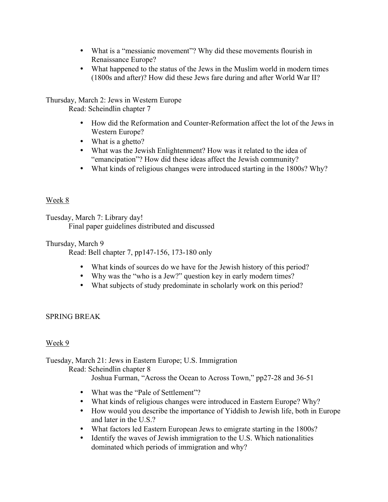- What is a "messianic movement"? Why did these movements flourish in Renaissance Europe?
- What happened to the status of the Jews in the Muslim world in modern times (1800s and after)? How did these Jews fare during and after World War II?

Thursday, March 2: Jews in Western Europe

Read: Scheindlin chapter 7

- How did the Reformation and Counter-Reformation affect the lot of the Jews in Western Europe?
- What is a ghetto?
- What was the Jewish Enlightenment? How was it related to the idea of "emancipation"? How did these ideas affect the Jewish community?
- What kinds of religious changes were introduced starting in the 1800s? Why?

## Week 8

Tuesday, March 7: Library day!

Final paper guidelines distributed and discussed

## Thursday, March 9

Read: Bell chapter 7, pp147-156, 173-180 only

- What kinds of sources do we have for the Jewish history of this period?
- Why was the "who is a Jew?" question key in early modern times?
- What subjects of study predominate in scholarly work on this period?

# SPRING BREAK

# Week 9

Tuesday, March 21: Jews in Eastern Europe; U.S. Immigration Read: Scheindlin chapter 8

Joshua Furman, "Across the Ocean to Across Town," pp27-28 and 36-51

- What was the "Pale of Settlement"?
- What kinds of religious changes were introduced in Eastern Europe? Why?
- How would you describe the importance of Yiddish to Jewish life, both in Europe and later in the U.S.?
- What factors led Eastern European Jews to emigrate starting in the 1800s?
- Identify the waves of Jewish immigration to the U.S. Which nationalities dominated which periods of immigration and why?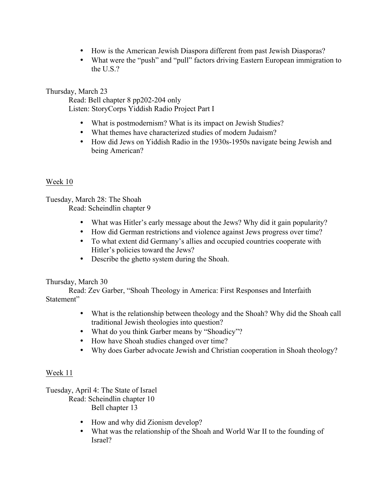- How is the American Jewish Diaspora different from past Jewish Diasporas?
- What were the "push" and "pull" factors driving Eastern European immigration to the U.S.?

Thursday, March 23

Read: Bell chapter 8 pp202-204 only Listen: StoryCorps Yiddish Radio Project Part I

- What is postmodernism? What is its impact on Jewish Studies?
- What themes have characterized studies of modern Judaism?
- How did Jews on Yiddish Radio in the 1930s-1950s navigate being Jewish and being American?

## Week 10

Tuesday, March 28: The Shoah

Read: Scheindlin chapter 9

- What was Hitler's early message about the Jews? Why did it gain popularity?
- How did German restrictions and violence against Jews progress over time?
- To what extent did Germany's allies and occupied countries cooperate with Hitler's policies toward the Jews?
- Describe the ghetto system during the Shoah.

Thursday, March 30

Read: Zev Garber, "Shoah Theology in America: First Responses and Interfaith Statement"

- What is the relationship between theology and the Shoah? Why did the Shoah call traditional Jewish theologies into question?
- What do you think Garber means by "Shoadicy"?
- How have Shoah studies changed over time?
- Why does Garber advocate Jewish and Christian cooperation in Shoah theology?

#### Week 11

Tuesday, April 4: The State of Israel

Read: Scheindlin chapter 10

Bell chapter 13

- How and why did Zionism develop?
- What was the relationship of the Shoah and World War II to the founding of Israel?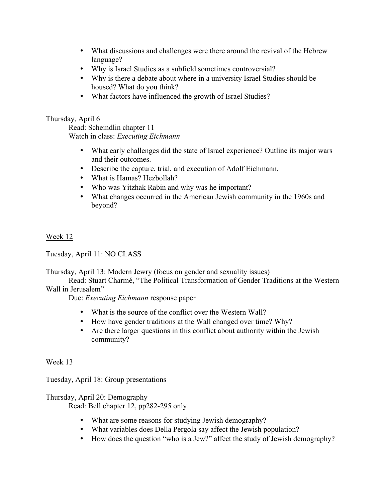- What discussions and challenges were there around the revival of the Hebrew language?
- Why is Israel Studies as a subfield sometimes controversial?
- Why is there a debate about where in a university Israel Studies should be housed? What do you think?
- What factors have influenced the growth of Israel Studies?

#### Thursday, April 6

Read: Scheindlin chapter 11 Watch in class: *Executing Eichmann*

- What early challenges did the state of Israel experience? Outline its major wars and their outcomes.
- Describe the capture, trial, and execution of Adolf Eichmann.
- What is Hamas? Hezbollah?
- Who was Yitzhak Rabin and why was he important?
- What changes occurred in the American Jewish community in the 1960s and beyond?

## Week 12

Tuesday, April 11: NO CLASS

Thursday, April 13: Modern Jewry (focus on gender and sexuality issues)

Read: Stuart Charmé, "The Political Transformation of Gender Traditions at the Western Wall in Jerusalem"

Due: *Executing Eichmann* response paper

- What is the source of the conflict over the Western Wall?
- How have gender traditions at the Wall changed over time? Why?
- Are there larger questions in this conflict about authority within the Jewish community?

#### Week 13

Tuesday, April 18: Group presentations

#### Thursday, April 20: Demography

Read: Bell chapter 12, pp282-295 only

- What are some reasons for studying Jewish demography?
- What variables does Della Pergola say affect the Jewish population?
- How does the question "who is a Jew?" affect the study of Jewish demography?